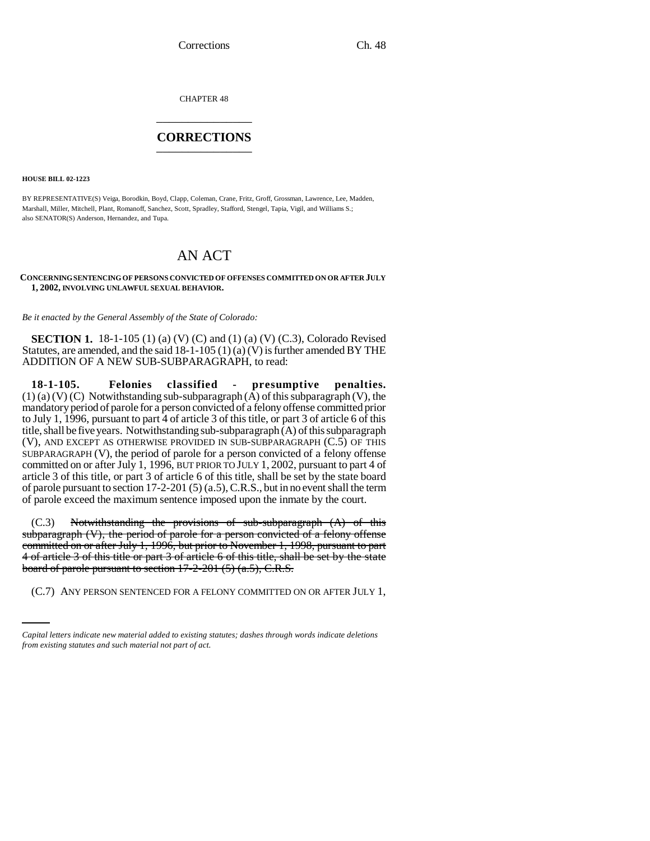CHAPTER 48 \_\_\_\_\_\_\_\_\_\_\_\_\_\_\_

## **CORRECTIONS** \_\_\_\_\_\_\_\_\_\_\_\_\_\_\_

**HOUSE BILL 02-1223**

BY REPRESENTATIVE(S) Veiga, Borodkin, Boyd, Clapp, Coleman, Crane, Fritz, Groff, Grossman, Lawrence, Lee, Madden, Marshall, Miller, Mitchell, Plant, Romanoff, Sanchez, Scott, Spradley, Stafford, Stengel, Tapia, Vigil, and Williams S.; also SENATOR(S) Anderson, Hernandez, and Tupa.

## AN ACT

**CONCERNING SENTENCING OF PERSONS CONVICTED OF OFFENSES COMMITTED ON OR AFTER JULY 1, 2002, INVOLVING UNLAWFUL SEXUAL BEHAVIOR.**

*Be it enacted by the General Assembly of the State of Colorado:*

**SECTION 1.** 18-1-105 (1) (a) (V) (C) and (1) (a) (V) (C.3), Colorado Revised Statutes, are amended, and the said  $18-1-105(1)(a)(V)$  is further amended BY THE ADDITION OF A NEW SUB-SUBPARAGRAPH, to read:

**18-1-105. Felonies classified - presumptive penalties.**  $(1)$  (a) (V) (C) Notwithstanding sub-subparagraph  $(\overline{A})$  of this subparagraph (V), the mandatory period of parole for a person convicted of a felony offense committed prior to July 1, 1996, pursuant to part 4 of article 3 of this title, or part 3 of article 6 of this title, shall be five years. Notwithstanding sub-subparagraph (A) of this subparagraph (V), AND EXCEPT AS OTHERWISE PROVIDED IN SUB-SUBPARAGRAPH (C.5) OF THIS SUBPARAGRAPH (V), the period of parole for a person convicted of a felony offense committed on or after July 1, 1996, BUT PRIOR TO JULY 1, 2002, pursuant to part 4 of article 3 of this title, or part 3 of article 6 of this title, shall be set by the state board of parole pursuant to section 17-2-201 (5) (a.5), C.R.S., but in no event shall the term of parole exceed the maximum sentence imposed upon the inmate by the court.

board of parole pursuant to section 17-2-201 (5) (a.5), C.R.S. (C.3) Notwithstanding the provisions of sub-subparagraph (A) of this subparagraph (V), the period of parole for a person convicted of a felony offense committed on or after July 1, 1996, but prior to November 1, 1998, pursuant to part 4 of article 3 of this title or part 3 of article 6 of this title, shall be set by the state

(C.7) ANY PERSON SENTENCED FOR A FELONY COMMITTED ON OR AFTER JULY 1,

*Capital letters indicate new material added to existing statutes; dashes through words indicate deletions from existing statutes and such material not part of act.*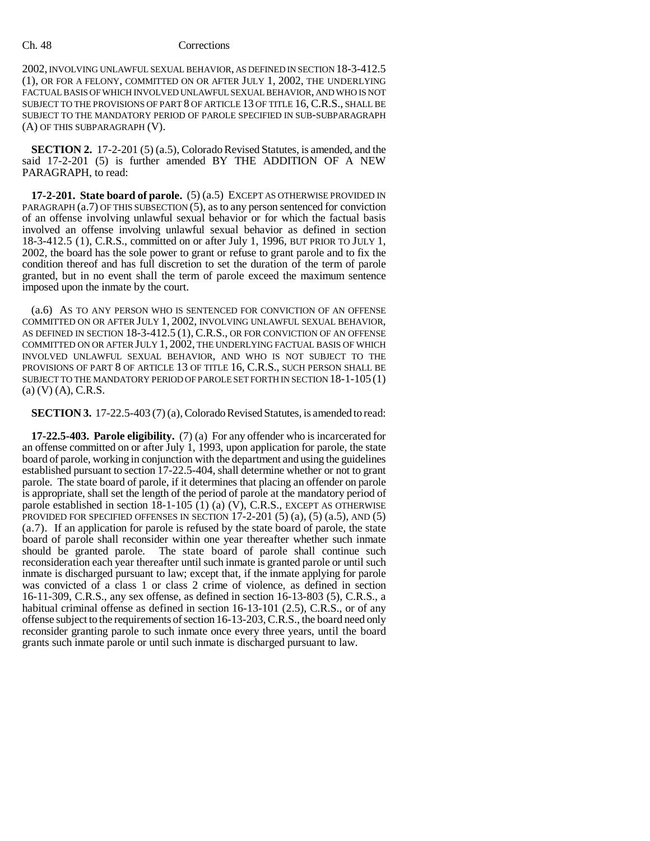## Ch. 48 Corrections

2002, INVOLVING UNLAWFUL SEXUAL BEHAVIOR, AS DEFINED IN SECTION 18-3-412.5 (1), OR FOR A FELONY, COMMITTED ON OR AFTER JULY 1, 2002, THE UNDERLYING FACTUAL BASIS OF WHICH INVOLVED UNLAWFUL SEXUAL BEHAVIOR, AND WHO IS NOT SUBJECT TO THE PROVISIONS OF PART 8 OF ARTICLE 13 OF TITLE 16, C.R.S., SHALL BE SUBJECT TO THE MANDATORY PERIOD OF PAROLE SPECIFIED IN SUB-SUBPARAGRAPH (A) OF THIS SUBPARAGRAPH (V).

**SECTION 2.** 17-2-201 (5) (a.5), Colorado Revised Statutes, is amended, and the said 17-2-201 (5) is further amended BY THE ADDITION OF A NEW PARAGRAPH, to read:

**17-2-201. State board of parole.** (5) (a.5) EXCEPT AS OTHERWISE PROVIDED IN PARAGRAPH (a.7) OF THIS SUBSECTION (5), as to any person sentenced for conviction of an offense involving unlawful sexual behavior or for which the factual basis involved an offense involving unlawful sexual behavior as defined in section 18-3-412.5 (1), C.R.S., committed on or after July 1, 1996, BUT PRIOR TO JULY 1, 2002, the board has the sole power to grant or refuse to grant parole and to fix the condition thereof and has full discretion to set the duration of the term of parole granted, but in no event shall the term of parole exceed the maximum sentence imposed upon the inmate by the court.

(a.6) AS TO ANY PERSON WHO IS SENTENCED FOR CONVICTION OF AN OFFENSE COMMITTED ON OR AFTER JULY 1, 2002, INVOLVING UNLAWFUL SEXUAL BEHAVIOR, AS DEFINED IN SECTION 18-3-412.5 (1), C.R.S., OR FOR CONVICTION OF AN OFFENSE COMMITTED ON OR AFTER JULY 1, 2002, THE UNDERLYING FACTUAL BASIS OF WHICH INVOLVED UNLAWFUL SEXUAL BEHAVIOR, AND WHO IS NOT SUBJECT TO THE PROVISIONS OF PART 8 OF ARTICLE 13 OF TITLE 16, C.R.S., SUCH PERSON SHALL BE SUBJECT TO THE MANDATORY PERIOD OF PAROLE SET FORTH IN SECTION 18-1-105 (1) (a) (V) (A), C.R.S.

**SECTION 3.** 17-22.5-403 (7) (a), Colorado Revised Statutes, is amended to read:

**17-22.5-403. Parole eligibility.** (7) (a) For any offender who is incarcerated for an offense committed on or after July 1, 1993, upon application for parole, the state board of parole, working in conjunction with the department and using the guidelines established pursuant to section 17-22.5-404, shall determine whether or not to grant parole. The state board of parole, if it determines that placing an offender on parole is appropriate, shall set the length of the period of parole at the mandatory period of parole established in section  $18-1-105$  (1) (a) (V), C.R.S., EXCEPT AS OTHERWISE PROVIDED FOR SPECIFIED OFFENSES IN SECTION  $17-2-201$  (5)  $(a)$ , (5)  $(a.5)$ , AND (5) (a.7). If an application for parole is refused by the state board of parole, the state board of parole shall reconsider within one year thereafter whether such inmate should be granted parole. The state board of parole shall continue such reconsideration each year thereafter until such inmate is granted parole or until such inmate is discharged pursuant to law; except that, if the inmate applying for parole was convicted of a class 1 or class 2 crime of violence, as defined in section 16-11-309, C.R.S., any sex offense, as defined in section 16-13-803 (5), C.R.S., a habitual criminal offense as defined in section 16-13-101 (2.5), C.R.S., or of any offense subject to the requirements of section 16-13-203, C.R.S., the board need only reconsider granting parole to such inmate once every three years, until the board grants such inmate parole or until such inmate is discharged pursuant to law.